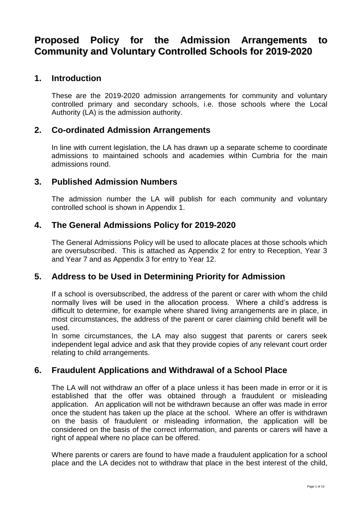## **Proposed Policy for the Admission Arrangements to Community and Voluntary Controlled Schools for 2019-2020**

## **1. Introduction**

These are the 2019-2020 admission arrangements for community and voluntary controlled primary and secondary schools, i.e. those schools where the Local Authority (LA) is the admission authority.

## **2. Co-ordinated Admission Arrangements**

In line with current legislation, the LA has drawn up a separate scheme to coordinate admissions to maintained schools and academies within Cumbria for the main admissions round.

## **3. Published Admission Numbers**

The admission number the LA will publish for each community and voluntary controlled school is shown in Appendix 1.

## **4. The General Admissions Policy for 2019-2020**

The General Admissions Policy will be used to allocate places at those schools which are oversubscribed. This is attached as Appendix 2 for entry to Reception, Year 3 and Year 7 and as Appendix 3 for entry to Year 12.

## **5. Address to be Used in Determining Priority for Admission**

If a school is oversubscribed, the address of the parent or carer with whom the child normally lives will be used in the allocation process. Where a child's address is difficult to determine, for example where shared living arrangements are in place, in most circumstances, the address of the parent or carer claiming child benefit will be used.

In some circumstances, the LA may also suggest that parents or carers seek independent legal advice and ask that they provide copies of any relevant court order relating to child arrangements.

## **6. Fraudulent Applications and Withdrawal of a School Place**

The LA will not withdraw an offer of a place unless it has been made in error or it is established that the offer was obtained through a fraudulent or misleading application. An application will not be withdrawn because an offer was made in error once the student has taken up the place at the school. Where an offer is withdrawn on the basis of fraudulent or misleading information, the application will be considered on the basis of the correct information, and parents or carers will have a right of appeal where no place can be offered.

Where parents or carers are found to have made a fraudulent application for a school place and the LA decides not to withdraw that place in the best interest of the child,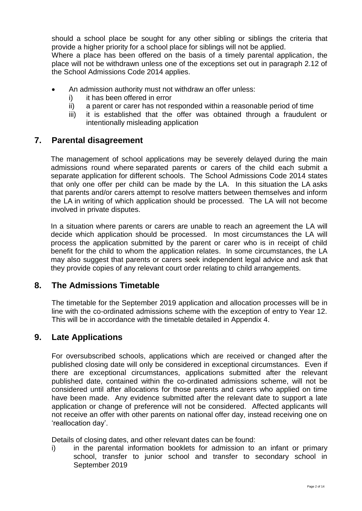should a school place be sought for any other sibling or siblings the criteria that provide a higher priority for a school place for siblings will not be applied.

Where a place has been offered on the basis of a timely parental application, the place will not be withdrawn unless one of the exceptions set out in paragraph 2.12 of the School Admissions Code 2014 applies.

- An admission authority must not withdraw an offer unless:
	- i) it has been offered in error
	- ii) a parent or carer has not responded within a reasonable period of time
	- iii) it is established that the offer was obtained through a fraudulent or intentionally misleading application

## **7. Parental disagreement**

The management of school applications may be severely delayed during the main admissions round where separated parents or carers of the child each submit a separate application for different schools. The School Admissions Code 2014 states that only one offer per child can be made by the LA. In this situation the LA asks that parents and/or carers attempt to resolve matters between themselves and inform the LA in writing of which application should be processed. The LA will not become involved in private disputes.

In a situation where parents or carers are unable to reach an agreement the LA will decide which application should be processed. In most circumstances the LA will process the application submitted by the parent or carer who is in receipt of child benefit for the child to whom the application relates. In some circumstances, the LA may also suggest that parents or carers seek independent legal advice and ask that they provide copies of any relevant court order relating to child arrangements.

### **8. The Admissions Timetable**

The timetable for the September 2019 application and allocation processes will be in line with the co-ordinated admissions scheme with the exception of entry to Year 12. This will be in accordance with the timetable detailed in Appendix 4.

## **9. Late Applications**

For oversubscribed schools, applications which are received or changed after the published closing date will only be considered in exceptional circumstances. Even if there are exceptional circumstances, applications submitted after the relevant published date, contained within the co-ordinated admissions scheme, will not be considered until after allocations for those parents and carers who applied on time have been made. Any evidence submitted after the relevant date to support a late application or change of preference will not be considered. Affected applicants will not receive an offer with other parents on national offer day, instead receiving one on 'reallocation day'.

Details of closing dates, and other relevant dates can be found:

i) in the parental information booklets for admission to an infant or primary school, transfer to junior school and transfer to secondary school in September 2019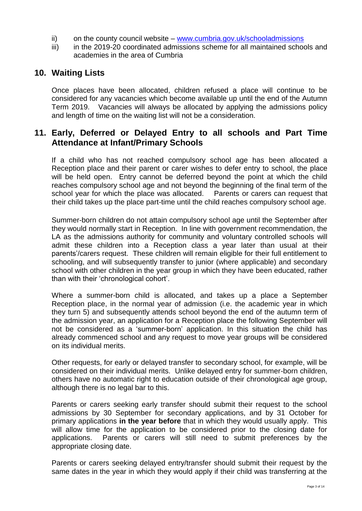- ii) on the county council website [www.cumbria.gov.uk/schooladmissions](http://www.cumbria.gov.uk/schooladmissions)
- iii) in the 2019-20 coordinated admissions scheme for all maintained schools and academies in the area of Cumbria

## **10. Waiting Lists**

Once places have been allocated, children refused a place will continue to be considered for any vacancies which become available up until the end of the Autumn Term 2019. Vacancies will always be allocated by applying the admissions policy and length of time on the waiting list will not be a consideration.

## **11. Early, Deferred or Delayed Entry to all schools and Part Time Attendance at Infant/Primary Schools**

If a child who has not reached compulsory school age has been allocated a Reception place and their parent or carer wishes to defer entry to school, the place will be held open. Entry cannot be deferred beyond the point at which the child reaches compulsory school age and not beyond the beginning of the final term of the school year for which the place was allocated. Parents or carers can request that their child takes up the place part-time until the child reaches compulsory school age.

Summer-born children do not attain compulsory school age until the September after they would normally start in Reception. In line with government recommendation, the LA as the admissions authority for community and voluntary controlled schools will admit these children into a Reception class a year later than usual at their parents'/carers request. These children will remain eligible for their full entitlement to schooling, and will subsequently transfer to junior (where applicable) and secondary school with other children in the year group in which they have been educated, rather than with their 'chronological cohort'.

Where a summer-born child is allocated, and takes up a place a September Reception place, in the normal year of admission (i.e. the academic year in which they turn 5) and subsequently attends school beyond the end of the autumn term of the admission year, an application for a Reception place the following September will not be considered as a 'summer-born' application. In this situation the child has already commenced school and any request to move year groups will be considered on its individual merits.

Other requests, for early or delayed transfer to secondary school, for example, will be considered on their individual merits. Unlike delayed entry for summer-born children, others have no automatic right to education outside of their chronological age group, although there is no legal bar to this.

Parents or carers seeking early transfer should submit their request to the school admissions by 30 September for secondary applications, and by 31 October for primary applications **in the year before** that in which they would usually apply. This will allow time for the application to be considered prior to the closing date for applications. Parents or carers will still need to submit preferences by the appropriate closing date.

Parents or carers seeking delayed entry/transfer should submit their request by the same dates in the year in which they would apply if their child was transferring at the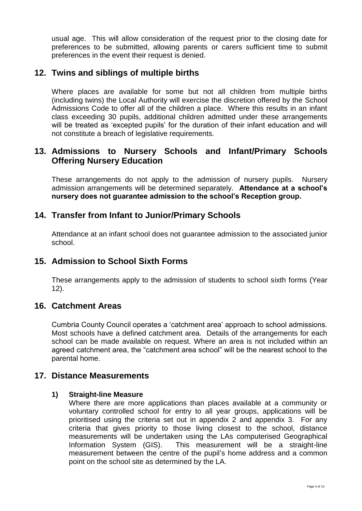usual age. This will allow consideration of the request prior to the closing date for preferences to be submitted, allowing parents or carers sufficient time to submit preferences in the event their request is denied.

## **12. Twins and siblings of multiple births**

Where places are available for some but not all children from multiple births (including twins) the Local Authority will exercise the discretion offered by the School Admissions Code to offer all of the children a place. Where this results in an infant class exceeding 30 pupils, additional children admitted under these arrangements will be treated as 'excepted pupils' for the duration of their infant education and will not constitute a breach of legislative requirements.

## **13. Admissions to Nursery Schools and Infant/Primary Schools Offering Nursery Education**

These arrangements do not apply to the admission of nursery pupils. Nursery admission arrangements will be determined separately. **Attendance at a school's nursery does not guarantee admission to the school's Reception group.**

## **14. Transfer from Infant to Junior/Primary Schools**

Attendance at an infant school does not guarantee admission to the associated junior school.

## **15. Admission to School Sixth Forms**

These arrangements apply to the admission of students to school sixth forms (Year 12).

### **16. Catchment Areas**

Cumbria County Council operates a 'catchment area' approach to school admissions. Most schools have a defined catchment area. Details of the arrangements for each school can be made available on request. Where an area is not included within an agreed catchment area, the "catchment area school" will be the nearest school to the parental home.

### **17. Distance Measurements**

### **1) Straight-line Measure**

Where there are more applications than places available at a community or voluntary controlled school for entry to all year groups, applications will be prioritised using the criteria set out in appendix 2 and appendix 3. For any criteria that gives priority to those living closest to the school, distance measurements will be undertaken using the LAs computerised Geographical Information System (GIS). This measurement will be a straight-line measurement between the centre of the pupil's home address and a common point on the school site as determined by the LA.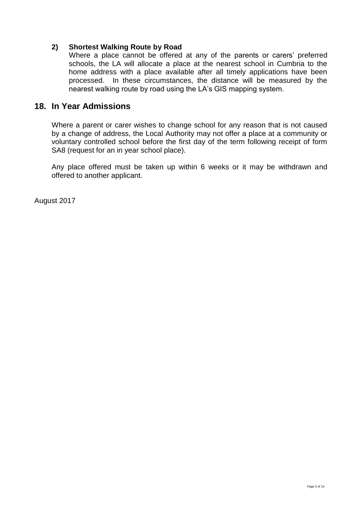### **2) Shortest Walking Route by Road**

Where a place cannot be offered at any of the parents or carers' preferred schools, the LA will allocate a place at the nearest school in Cumbria to the home address with a place available after all timely applications have been processed. In these circumstances, the distance will be measured by the nearest walking route by road using the LA's GIS mapping system.

### **18. In Year Admissions**

Where a parent or carer wishes to change school for any reason that is not caused by a change of address, the Local Authority may not offer a place at a community or voluntary controlled school before the first day of the term following receipt of form SA8 (request for an in year school place).

Any place offered must be taken up within 6 weeks or it may be withdrawn and offered to another applicant.

August 2017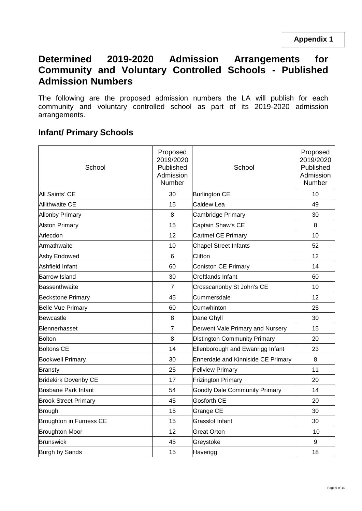## **Determined 2019-2020 Admission Arrangements for Community and Voluntary Controlled Schools - Published Admission Numbers**

The following are the proposed admission numbers the LA will publish for each community and voluntary controlled school as part of its 2019-2020 admission arrangements.

## **Infant/ Primary Schools**

| School                      | Proposed<br>2019/2020<br>Published<br>Admission<br>Number | School                               | Proposed<br>2019/2020<br>Published<br>Admission<br>Number |
|-----------------------------|-----------------------------------------------------------|--------------------------------------|-----------------------------------------------------------|
| All Saints' CE              | 30                                                        | <b>Burlington CE</b>                 | 10                                                        |
| <b>Allithwaite CE</b>       | 15                                                        | Caldew Lea                           | 49                                                        |
| <b>Allonby Primary</b>      | 8                                                         | Cambridge Primary                    | 30                                                        |
| <b>Alston Primary</b>       | 15                                                        | Captain Shaw's CE                    | 8                                                         |
| Arlecdon                    | 12                                                        | Cartmel CE Primary                   | 10                                                        |
| Armathwaite                 | 10                                                        | <b>Chapel Street Infants</b>         | 52                                                        |
| Asby Endowed                | 6                                                         | Clifton                              | 12                                                        |
| Ashfield Infant             | 60                                                        | <b>Coniston CE Primary</b>           | 14                                                        |
| <b>Barrow Island</b>        | 30                                                        | <b>Croftlands Infant</b>             | 60                                                        |
| Bassenthwaite               | 7                                                         | Crosscanonby St John's CE            | 10                                                        |
| <b>Beckstone Primary</b>    | 45                                                        | Cummersdale                          | 12                                                        |
| Belle Vue Primary           | 60                                                        | Cumwhinton                           | 25                                                        |
| lBewcastle                  | 8                                                         | Dane Ghyll                           | 30                                                        |
| Blennerhasset               | 7                                                         | Derwent Vale Primary and Nursery     | 15                                                        |
| <b>Bolton</b>               | 8                                                         | <b>Distington Community Primary</b>  | 20                                                        |
| <b>Boltons CE</b>           | 14                                                        | Ellenborough and Ewanrigg Infant     | 23                                                        |
| <b>Bookwell Primary</b>     | 30                                                        | Ennerdale and Kinniside CE Primary   | 8                                                         |
| <b>Bransty</b>              | 25                                                        | <b>Fellview Primary</b>              | 11                                                        |
| <b>Bridekirk Dovenby CE</b> | 17                                                        | <b>Frizington Primary</b>            | 20                                                        |
| Brisbane Park Infant        | 54                                                        | <b>Goodly Dale Community Primary</b> | 14                                                        |
| <b>Brook Street Primary</b> | 45                                                        | Gosforth CE                          | 20                                                        |
| Brough                      | 15                                                        | <b>Grange CE</b>                     | 30                                                        |
| Broughton in Furness CE     | 15                                                        | <b>Grasslot Infant</b>               | 30                                                        |
| <b>Broughton Moor</b>       | 12                                                        | <b>Great Orton</b>                   | 10                                                        |
| <b>Brunswick</b>            | 45                                                        | Greystoke                            | 9                                                         |
| Burgh by Sands              | 15                                                        | Haverigg                             | 18                                                        |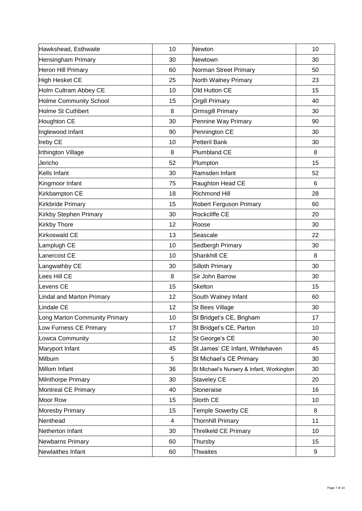| Hawkshead, Esthwaite          | 10                       | Newton                                    | 10 |
|-------------------------------|--------------------------|-------------------------------------------|----|
| Hensingham Primary            | 30                       | Newtown                                   | 30 |
| Heron Hill Primary            | 60                       | Norman Street Primary                     | 50 |
| High Hesket CE                | 25                       | North Walney Primary                      | 23 |
| Holm Cultram Abbey CE         | 10                       | Old Hutton CE                             | 15 |
| Holme Community School        | 15                       | <b>Orgill Primary</b>                     | 40 |
| Holme St Cuthbert             | 8                        | <b>Ormsgill Primary</b>                   | 30 |
| Houghton CE                   | 30                       | Pennine Way Primary                       | 90 |
| Inglewood Infant              | 90                       | Pennington CE                             | 30 |
| <b>Ireby CE</b>               | 10                       | Petteril Bank                             | 30 |
| Irthington Village            | 8                        | Plumbland CE                              | 8  |
| Jericho                       | 52                       | Plumpton                                  | 15 |
| Kells Infant                  | 30                       | Ramsden Infant                            | 52 |
| Kingmoor Infant               | 75                       | Raughton Head CE                          | 6  |
| Kirkbampton CE                | 18                       | <b>Richmond Hill</b>                      | 28 |
| Kirkbride Primary             | 15                       | <b>Robert Ferguson Primary</b>            | 60 |
| Kirkby Stephen Primary        | 30                       | <b>Rockcliffe CE</b>                      | 20 |
| <b>Kirkby Thore</b>           | 12                       | Roose                                     | 30 |
| Kirkoswald CE                 | 13                       | Seascale                                  | 22 |
| Lamplugh CE                   | 10                       | Sedbergh Primary                          | 30 |
| Lanercost CE                  | 10                       | Shankhill CE                              | 8  |
| Langwathby CE                 | 30                       | <b>Silloth Primary</b>                    | 30 |
| Lees Hill CE                  | 8                        | Sir John Barrow                           | 30 |
| Levens CE                     | 15                       | <b>Skelton</b>                            | 15 |
| Lindal and Marton Primary     | 12                       | South Walney Infant                       | 60 |
| Lindale CE                    | 12                       | St Bees Village                           | 30 |
| Long Marton Community Primary | 10                       | St Bridget's CE, Brigham                  | 17 |
| Low Furness CE Primary        | 17                       | St Bridget's CE, Parton                   | 10 |
| Lowca Community               | 12                       | St George's CE                            | 30 |
| Maryport Infant               | 45                       | St James' CE Infant, Whitehaven           | 45 |
| Milburn                       | 5                        | St Michael's CE Primary                   | 30 |
| Millom Infant                 | 36                       | St Michael's Nursery & Infant, Workington | 30 |
| Milnthorpe Primary            | 30                       | <b>Staveley CE</b>                        | 20 |
| Montreal CE Primary           | 40                       | Stoneraise                                | 16 |
| Moor Row                      | 15                       | Storth CE                                 | 10 |
| Moresby Primary               | 15                       | Temple Sowerby CE                         | 8  |
| Nenthead                      | $\overline{\mathcal{A}}$ | <b>Thornhill Primary</b>                  | 11 |
| Netherton Infant              | 30                       | <b>Threlkeld CE Primary</b>               | 10 |
| Newbarns Primary              | 60                       | Thursby                                   | 15 |
| Newlaithes Infant             | 60                       | <b>Thwaites</b>                           | 9  |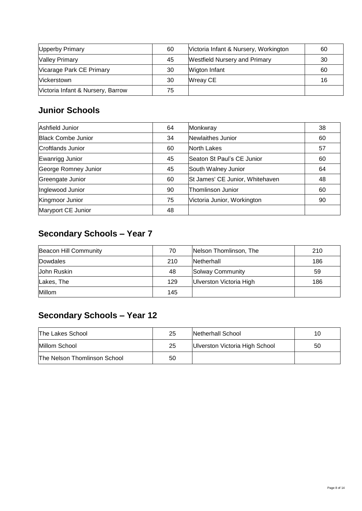| Upperby Primary                   | 60 | Victoria Infant & Nursery, Workington | 60 |
|-----------------------------------|----|---------------------------------------|----|
| <b>Valley Primary</b>             | 45 | <b>Westfield Nursery and Primary</b>  | 30 |
| Vicarage Park CE Primary          | 30 | <b>Wigton Infant</b>                  | 60 |
| <b>Vickerstown</b>                | 30 | Wreay CE                              | 16 |
| Victoria Infant & Nursery, Barrow | 75 |                                       |    |

## **Junior Schools**

| Ashfield Junior           | 64 | Monkwray                        | 38 |
|---------------------------|----|---------------------------------|----|
| <b>Black Combe Junior</b> | 34 | Newlaithes Junior               | 60 |
| Croftlands Junior         | 60 | North Lakes                     | 57 |
| Ewanrigg Junior           | 45 | Seaton St Paul's CE Junior      | 60 |
| George Romney Junior      | 45 | South Walney Junior             | 64 |
| Greengate Junior          | 60 | St James' CE Junior, Whitehaven | 48 |
| Inglewood Junior          | 90 | Thomlinson Junior               | 60 |
| Kingmoor Junior           | 75 | Victoria Junior, Workington     | 90 |
| Maryport CE Junior        | 48 |                                 |    |

## **Secondary Schools – Year 7**

| Beacon Hill Community | 70  | Nelson Thomlinson, The  | 210 |
|-----------------------|-----|-------------------------|-----|
| Dowdales              | 210 | Netherhall              | 186 |
| Uohn Ruskin           | 48  | Solway Community        | 59  |
| Lakes, The            | 129 | Ulverston Victoria High | 186 |
| Millom                | 145 |                         |     |

## **Secondary Schools – Year 12**

| The Lakes School                    | 25 | Netherhall School              | 10 |
|-------------------------------------|----|--------------------------------|----|
| Millom School                       | 25 | Ulverston Victoria High School | 50 |
| <b>The Nelson Thomlinson School</b> | 50 |                                |    |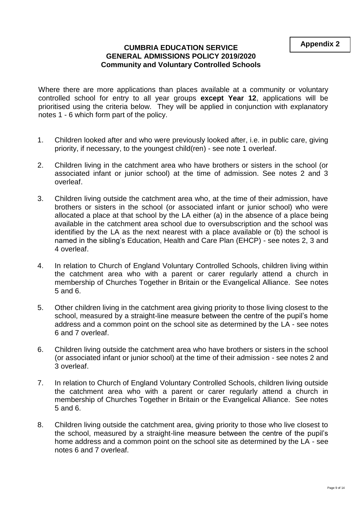### **CUMBRIA EDUCATION SERVICE GENERAL ADMISSIONS POLICY 2019/2020 Community and Voluntary Controlled Schools**

Where there are more applications than places available at a community or voluntary controlled school for entry to all year groups **except Year 12**, applications will be prioritised using the criteria below. They will be applied in conjunction with explanatory notes 1 - 6 which form part of the policy.

- 1. Children looked after and who were previously looked after, i.e. in public care, giving priority, if necessary, to the youngest child(ren) - see note 1 overleaf.
- 2. Children living in the catchment area who have brothers or sisters in the school (or associated infant or junior school) at the time of admission. See notes 2 and 3 overleaf.
- 3. Children living outside the catchment area who, at the time of their admission, have brothers or sisters in the school (or associated infant or junior school) who were allocated a place at that school by the LA either (a) in the absence of a place being available in the catchment area school due to oversubscription and the school was identified by the LA as the next nearest with a place available or (b) the school is named in the sibling's Education, Health and Care Plan (EHCP) - see notes 2, 3 and 4 overleaf.
- 4. In relation to Church of England Voluntary Controlled Schools, children living within the catchment area who with a parent or carer regularly attend a church in membership of Churches Together in Britain or the Evangelical Alliance. See notes 5 and 6.
- 5. Other children living in the catchment area giving priority to those living closest to the school, measured by a straight-line measure between the centre of the pupil's home address and a common point on the school site as determined by the LA - see notes 6 and 7 overleaf.
- 6. Children living outside the catchment area who have brothers or sisters in the school (or associated infant or junior school) at the time of their admission - see notes 2 and 3 overleaf.
- 7. In relation to Church of England Voluntary Controlled Schools, children living outside the catchment area who with a parent or carer regularly attend a church in membership of Churches Together in Britain or the Evangelical Alliance. See notes 5 and 6.
- 8. Children living outside the catchment area, giving priority to those who live closest to the school, measured by a straight-line measure between the centre of the pupil's home address and a common point on the school site as determined by the LA - see notes 6 and 7 overleaf.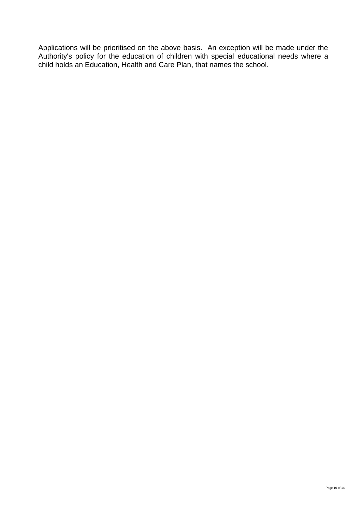Applications will be prioritised on the above basis. An exception will be made under the Authority's policy for the education of children with special educational needs where a child holds an Education, Health and Care Plan, that names the school.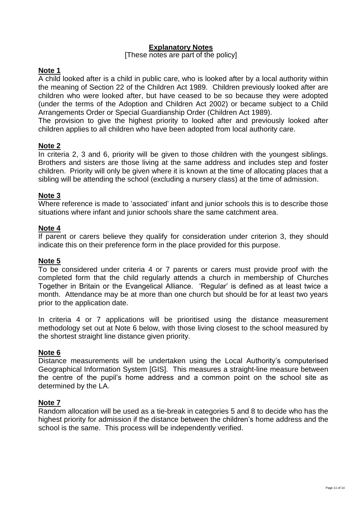### **Explanatory Notes**

### [These notes are part of the policy]

### **Note 1**

A child looked after is a child in public care, who is looked after by a local authority within the meaning of Section 22 of the Children Act 1989. Children previously looked after are children who were looked after, but have ceased to be so because they were adopted (under the terms of the Adoption and Children Act 2002) or became subject to a Child Arrangements Order or Special Guardianship Order (Children Act 1989).

The provision to give the highest priority to looked after and previously looked after children applies to all children who have been adopted from local authority care.

### **Note 2**

In criteria 2, 3 and 6, priority will be given to those children with the youngest siblings. Brothers and sisters are those living at the same address and includes step and foster children. Priority will only be given where it is known at the time of allocating places that a sibling will be attending the school (excluding a nursery class) at the time of admission.

### **Note 3**

Where reference is made to 'associated' infant and junior schools this is to describe those situations where infant and junior schools share the same catchment area.

### **Note 4**

If parent or carers believe they qualify for consideration under criterion 3, they should indicate this on their preference form in the place provided for this purpose.

### **Note 5**

To be considered under criteria 4 or 7 parents or carers must provide proof with the completed form that the child regularly attends a church in membership of Churches Together in Britain or the Evangelical Alliance. 'Regular' is defined as at least twice a month. Attendance may be at more than one church but should be for at least two years prior to the application date.

In criteria 4 or 7 applications will be prioritised using the distance measurement methodology set out at Note 6 below, with those living closest to the school measured by the shortest straight line distance given priority.

### **Note 6**

Distance measurements will be undertaken using the Local Authority's computerised Geographical Information System [GIS]. This measures a straight-line measure between the centre of the pupil's home address and a common point on the school site as determined by the LA.

### **Note 7**

Random allocation will be used as a tie-break in categories 5 and 8 to decide who has the highest priority for admission if the distance between the children's home address and the school is the same. This process will be independently verified.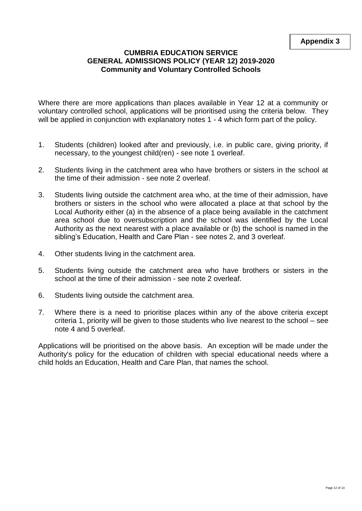### **CUMBRIA EDUCATION SERVICE GENERAL ADMISSIONS POLICY (YEAR 12) 2019-2020 Community and Voluntary Controlled Schools**

Where there are more applications than places available in Year 12 at a community or voluntary controlled school, applications will be prioritised using the criteria below. They will be applied in conjunction with explanatory notes 1 - 4 which form part of the policy.

- 1. Students (children) looked after and previously, i.e. in public care, giving priority, if necessary, to the youngest child(ren) - see note 1 overleaf.
- 2. Students living in the catchment area who have brothers or sisters in the school at the time of their admission - see note 2 overleaf.
- 3. Students living outside the catchment area who, at the time of their admission, have brothers or sisters in the school who were allocated a place at that school by the Local Authority either (a) in the absence of a place being available in the catchment area school due to oversubscription and the school was identified by the Local Authority as the next nearest with a place available or (b) the school is named in the sibling's Education, Health and Care Plan - see notes 2, and 3 overleaf.
- 4. Other students living in the catchment area.
- 5. Students living outside the catchment area who have brothers or sisters in the school at the time of their admission - see note 2 overleaf.
- 6. Students living outside the catchment area.
- 7. Where there is a need to prioritise places within any of the above criteria except criteria 1, priority will be given to those students who live nearest to the school – see note 4 and 5 overleaf.

Applications will be prioritised on the above basis. An exception will be made under the Authority's policy for the education of children with special educational needs where a child holds an Education, Health and Care Plan, that names the school.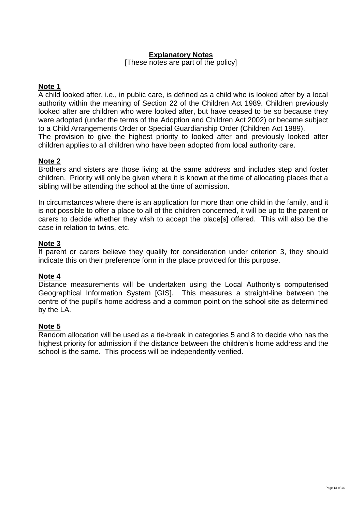### **Explanatory Notes**

[These notes are part of the policy]

### **Note 1**

A child looked after, i.e., in public care, is defined as a child who is looked after by a local authority within the meaning of Section 22 of the Children Act 1989. Children previously looked after are children who were looked after, but have ceased to be so because they were adopted (under the terms of the Adoption and Children Act 2002) or became subject to a Child Arrangements Order or Special Guardianship Order (Children Act 1989). The provision to give the highest priority to looked after and previously looked after children applies to all children who have been adopted from local authority care.

### **Note 2**

Brothers and sisters are those living at the same address and includes step and foster children. Priority will only be given where it is known at the time of allocating places that a sibling will be attending the school at the time of admission.

In circumstances where there is an application for more than one child in the family, and it is not possible to offer a place to all of the children concerned, it will be up to the parent or carers to decide whether they wish to accept the place[s] offered. This will also be the case in relation to twins, etc.

### **Note 3**

If parent or carers believe they qualify for consideration under criterion 3, they should indicate this on their preference form in the place provided for this purpose.

### **Note 4**

Distance measurements will be undertaken using the Local Authority's computerised Geographical Information System [GIS]. This measures a straight-line between the centre of the pupil's home address and a common point on the school site as determined by the LA.

### **Note 5**

Random allocation will be used as a tie-break in categories 5 and 8 to decide who has the highest priority for admission if the distance between the children's home address and the school is the same. This process will be independently verified.